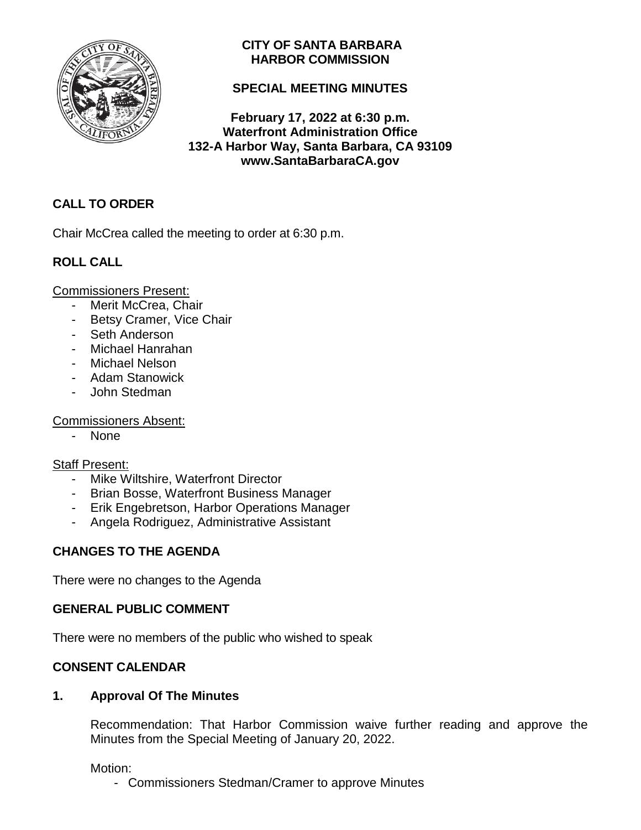

## **CITY OF SANTA BARBARA HARBOR COMMISSION**

# **SPECIAL MEETING MINUTES**

**February 17, 2022 at 6:30 p.m. Waterfront Administration Office 132-A Harbor Way, Santa Barbara, CA 93109 www.SantaBarbaraCA.gov**

# **CALL TO ORDER**

Chair McCrea called the meeting to order at 6:30 p.m.

# **ROLL CALL**

Commissioners Present:

- Merit McCrea, Chair
- Betsy Cramer, Vice Chair
- Seth Anderson
- Michael Hanrahan
- Michael Nelson
- Adam Stanowick
- John Stedman

Commissioners Absent:

- None

#### Staff Present:

- Mike Wiltshire, Waterfront Director
- Brian Bosse, Waterfront Business Manager
- Erik Engebretson, Harbor Operations Manager
- Angela Rodriguez, Administrative Assistant

## **CHANGES TO THE AGENDA**

There were no changes to the Agenda

## **GENERAL PUBLIC COMMENT**

There were no members of the public who wished to speak

## **CONSENT CALENDAR**

## **1. Approval Of The Minutes**

Recommendation: That Harbor Commission waive further reading and approve the Minutes from the Special Meeting of January 20, 2022.

Motion:

- Commissioners Stedman/Cramer to approve Minutes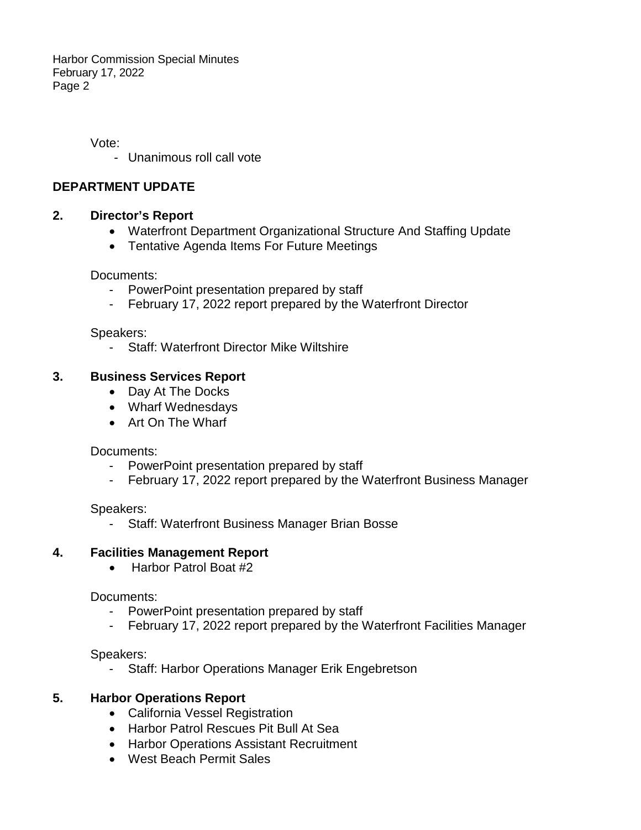Vote:

- Unanimous roll call vote

### **DEPARTMENT UPDATE**

### **2. Director's Report**

- Waterfront Department Organizational Structure And Staffing Update
- Tentative Agenda Items For Future Meetings

Documents:

- PowerPoint presentation prepared by staff
- February 17, 2022 report prepared by the Waterfront Director

#### Speakers:

- Staff: Waterfront Director Mike Wiltshire

### **3. Business Services Report**

- Day At The Docks
- Wharf Wednesdays
- Art On The Wharf

Documents:

- PowerPoint presentation prepared by staff
- February 17, 2022 report prepared by the Waterfront Business Manager

Speakers:

- Staff: Waterfront Business Manager Brian Bosse

## **4. Facilities Management Report**

• Harbor Patrol Boat #2

Documents:

- PowerPoint presentation prepared by staff
- February 17, 2022 report prepared by the Waterfront Facilities Manager

Speakers:

Staff: Harbor Operations Manager Erik Engebretson

## **5. Harbor Operations Report**

- California Vessel Registration
- Harbor Patrol Rescues Pit Bull At Sea
- Harbor Operations Assistant Recruitment
- West Beach Permit Sales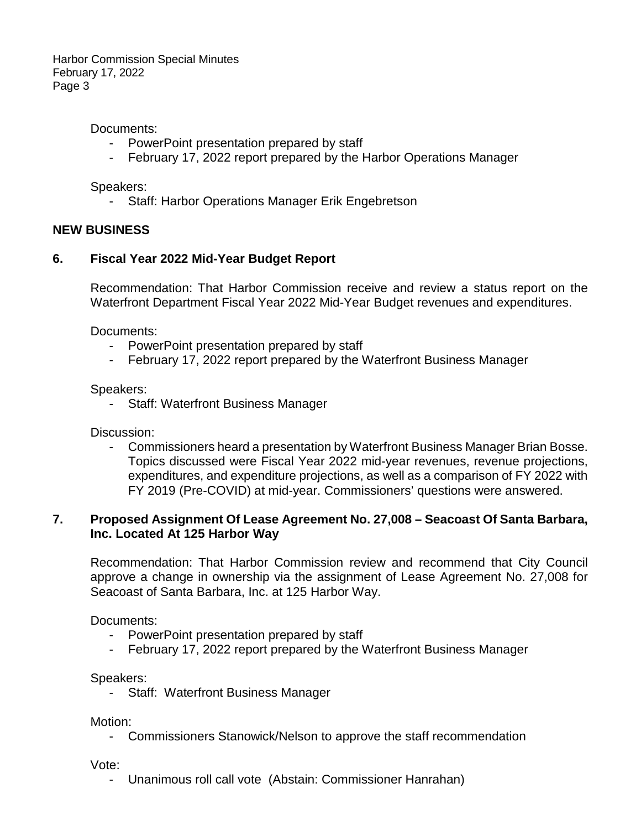Documents:

- PowerPoint presentation prepared by staff
- February 17, 2022 report prepared by the Harbor Operations Manager

Speakers:

- Staff: Harbor Operations Manager Erik Engebretson

#### **NEW BUSINESS**

#### **6. Fiscal Year 2022 Mid-Year Budget Report**

Recommendation: That Harbor Commission receive and review a status report on the Waterfront Department Fiscal Year 2022 Mid-Year Budget revenues and expenditures.

Documents:

- PowerPoint presentation prepared by staff
- February 17, 2022 report prepared by the Waterfront Business Manager

Speakers:

Staff: Waterfront Business Manager

Discussion:

- Commissioners heard a presentation by Waterfront Business Manager Brian Bosse. Topics discussed were Fiscal Year 2022 mid-year revenues, revenue projections, expenditures, and expenditure projections, as well as a comparison of FY 2022 with FY 2019 (Pre-COVID) at mid-year. Commissioners' questions were answered.

### **7. Proposed Assignment Of Lease Agreement No. 27,008 – Seacoast Of Santa Barbara, Inc. Located At 125 Harbor Way**

Recommendation: That Harbor Commission review and recommend that City Council approve a change in ownership via the assignment of Lease Agreement No. 27,008 for Seacoast of Santa Barbara, Inc. at 125 Harbor Way.

Documents:

- PowerPoint presentation prepared by staff
- February 17, 2022 report prepared by the Waterfront Business Manager

Speakers:

Staff: Waterfront Business Manager

Motion:

- Commissioners Stanowick/Nelson to approve the staff recommendation

Vote:

- Unanimous roll call vote (Abstain: Commissioner Hanrahan)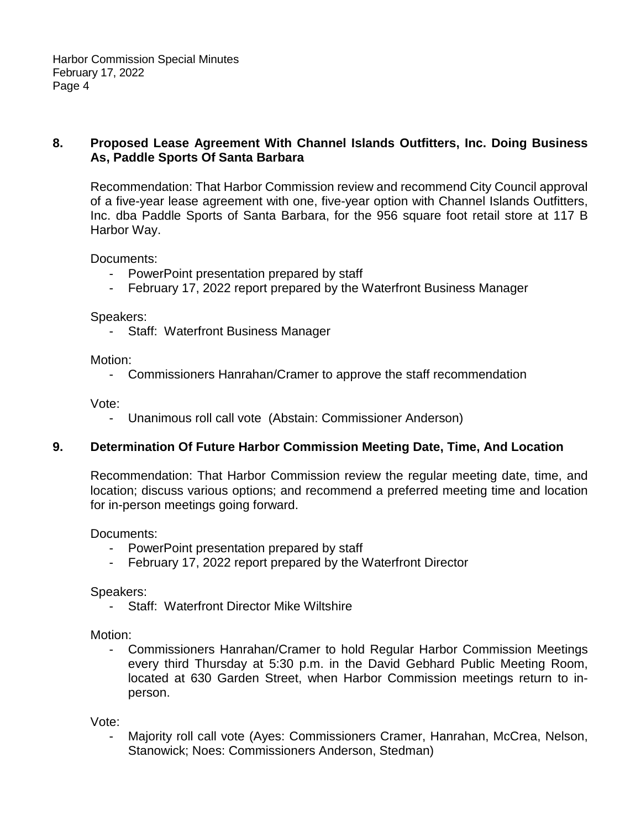#### **8. Proposed Lease Agreement With Channel Islands Outfitters, Inc. Doing Business As, Paddle Sports Of Santa Barbara**

Recommendation: That Harbor Commission review and recommend City Council approval of a five-year lease agreement with one, five-year option with Channel Islands Outfitters, Inc. dba Paddle Sports of Santa Barbara, for the 956 square foot retail store at 117 B Harbor Way.

Documents:

- PowerPoint presentation prepared by staff
- February 17, 2022 report prepared by the Waterfront Business Manager

Speakers:

- Staff: Waterfront Business Manager

Motion:

- Commissioners Hanrahan/Cramer to approve the staff recommendation

Vote:

- Unanimous roll call vote (Abstain: Commissioner Anderson)

#### **9. Determination Of Future Harbor Commission Meeting Date, Time, And Location**

Recommendation: That Harbor Commission review the regular meeting date, time, and location; discuss various options; and recommend a preferred meeting time and location for in-person meetings going forward.

Documents:

- PowerPoint presentation prepared by staff
- February 17, 2022 report prepared by the Waterfront Director

Speakers:

- Staff: Waterfront Director Mike Wiltshire

Motion:

- Commissioners Hanrahan/Cramer to hold Regular Harbor Commission Meetings every third Thursday at 5:30 p.m. in the David Gebhard Public Meeting Room, located at 630 Garden Street, when Harbor Commission meetings return to inperson.

Vote:

Majority roll call vote (Ayes: Commissioners Cramer, Hanrahan, McCrea, Nelson, Stanowick; Noes: Commissioners Anderson, Stedman)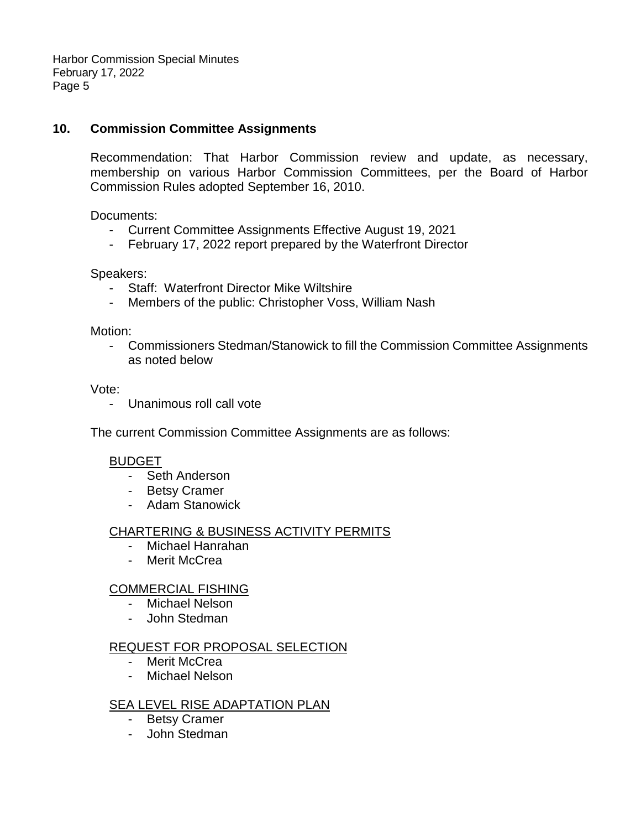#### **10. Commission Committee Assignments**

Recommendation: That Harbor Commission review and update, as necessary, membership on various Harbor Commission Committees, per the Board of Harbor Commission Rules adopted September 16, 2010.

Documents:

- Current Committee Assignments Effective August 19, 2021
- February 17, 2022 report prepared by the Waterfront Director

Speakers:

- Staff: Waterfront Director Mike Wiltshire
- Members of the public: Christopher Voss, William Nash

Motion:

- Commissioners Stedman/Stanowick to fill the Commission Committee Assignments as noted below

Vote:

- Unanimous roll call vote

The current Commission Committee Assignments are as follows:

#### BUDGET

- Seth Anderson
- Betsy Cramer
- Adam Stanowick

#### CHARTERING & BUSINESS ACTIVITY PERMITS

- Michael Hanrahan
- Merit McCrea

#### COMMERCIAL FISHING

- Michael Nelson
- John Stedman

#### REQUEST FOR PROPOSAL SELECTION

- Merit McCrea
- Michael Nelson

#### SEA LEVEL RISE ADAPTATION PLAN

- Betsy Cramer
- John Stedman